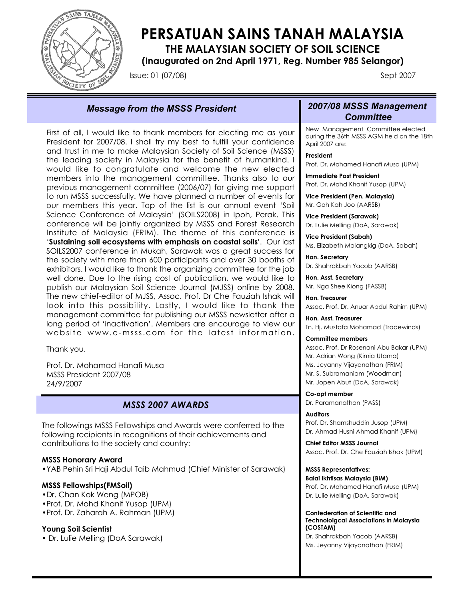

# **PERSATUAN SAINS TANAH MALAYSIA**

**THE MALAYSIAN SOCIETY OF SOIL SCIENCE**

**(Inaugurated on 2nd April 1971, Reg. Number 985 Selangor)**

Issue: 01 (07/08) Sept 2007

## *Message from the MSSS President 2007/08 MSSS Management*

First of all, I would like to thank members for electing me as your President for 2007/08. I shall try my best to fulfill your confidence and trust in me to make Malaysian Society of Soil Science (MSSS) the leading society in Malaysia for the benefit of humankind. I would like to congratulate and welcome the new elected members into the management committee. Thanks also to our previous management committee (2006/07) for giving me support to run MSSS successfully. We have planned a number of events for our members this year. Top of the list is our annual event 'Soil Science Conference of Malaysia' (SOILS2008) in Ipoh, Perak. This conference will be jointly organized by MSSS and Forest Research Institute of Malaysia (FRIM). The theme of this conference is '**Sustaining soil ecosystems with emphasis on coastal soils'**. Our last SOILS2007 conference in Mukah, Sarawak was a great success for the society with more than 600 participants and over 30 booths of exhibitors. I would like to thank the organizing committee for the job well done. Due to the rising cost of publication, we would like to publish our Malaysian Soil Science Journal (MJSS) online by 2008. The new chief-editor of MJSS, Assoc. Prof. Dr Che Fauziah Ishak will look into this possibility. Lastly, I would like to thank the management committee for publishing our MSSS newsletter after a long period of 'inactivation'. Members are encourage to view our website www.e-msss.com for the latest information.

Thank you.

Prof. Dr. Mohamad Hanafi Musa MSSS President 2007/08 24/9/2007

## *MSSS 2007 AWARDS*

The followings MSSS Fellowships and Awards were conferred to the following recipients in recognitions of their achievements and contributions to the society and country:

#### **MSSS Honorary Award**

•YAB Pehin Sri Haji Abdul Taib Mahmud (Chief Minister of Sarawak)

#### **MSSS Fellowships(FMSoil)**

- •Dr. Chan Kok Weng (MPOB)
- •Prof. Dr. Mohd Khanif Yusop (UPM)
- •Prof. Dr. Zaharah A. Rahman (UPM)

### **Young Soil Scientist**

• Dr. Lulie Melling (DoA Sarawak)

# *Committee*

New Management Committee elected during the 36th MSSS AGM held on the 18th April 2007 are:

**President** Prof. Dr. Mohamed Hanafi Musa (UPM)

**Immediate Past President** Prof. Dr. Mohd Khanif Yusop (UPM)

**Vice President (Pen. Malaysia)** Mr. Goh Kah Joo (AARSB)

**Vice President (Sarawak)** Dr. Lulie Melling (DoA, Sarawak)

**Vice President (Sabah)** Ms. Elizabeth Malangkig (DoA, Sabah)

**Hon. Secretary** Dr. Shahrakbah Yacob (AARSB)

**Hon. Asst. Secretary** Mr. Nga Shee Kiong (FASSB)

**Hon. Treasurer** Assoc. Prof. Dr. Anuar Abdul Rahim (UPM)

**Hon. Asst. Treasurer** Tn. Hj. Mustafa Mohamad (Tradewinds)

#### **Committee members**

Assoc. Prof. Dr Rosenani Abu Bakar (UPM) Mr. Adrian Wong (Kimia Utama) Ms. Jeyanny Vijayanathan (FRIM) Mr. S. Subramaniam (Woodman) Mr. Jopen Abut (DoA, Sarawak)

**Co-opt member** Dr. Paramanathan (PASS)

#### **Auditors**

Prof. Dr. Shamshuddin Jusop (UPM) Dr. Ahmad Husni Ahmad Khanif (UPM)

**Chief Editor MSSS Journal** Assoc. Prof. Dr. Che Fauziah Ishak (UPM)

#### **MSSS Representatives:**

**Balai Ikhtisas Malaysia (BIM)**

Prof. Dr. Mohamed Hanafi Musa (UPM) Dr. Lulie Melling (DoA, Sarawak)

**Confederation of Scientific and Technoloigcal Associations in Malaysia (COSTAM)**

Dr. Shahrakbah Yacob (AARSB) Ms. Jeyanny Vijayanathan (FRIM)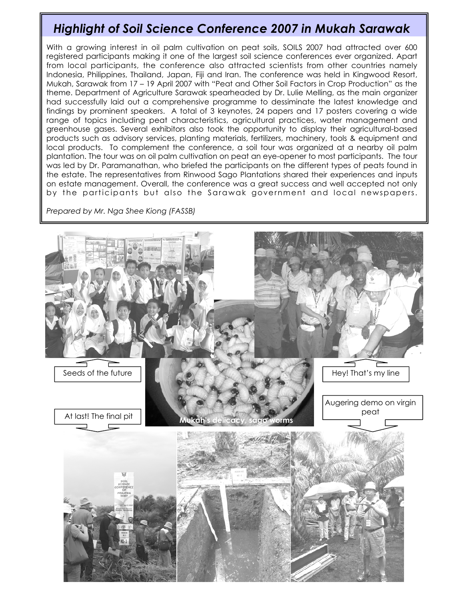## *Highlight of Soil Science Conference 2007 in Mukah Sarawak*

With a growing interest in oil palm cultivation on peat soils, SOILS 2007 had attracted over 600 registered participants making it one of the largest soil science conferences ever organized. Apart from local participants, the conference also attracted scientists from other countries namely Indonesia, Philippines, Thailand, Japan, Fiji and Iran. The conference was held in Kingwood Resort, Mukah, Sarawak from 17 – 19 April 2007 with "Peat and Other Soil Factors in Crop Production" as the theme. Department of Agriculture Sarawak spearheaded by Dr. Lulie Melling, as the main organizer had successfully laid out a comprehensive programme to dessiminate the latest knowledge and findings by prominent speakers. A total of 3 keynotes, 24 papers and 17 posters covering a wide range of topics including peat characteristics, agricultural practices, water management and greenhouse gases. Several exhibitors also took the opportunity to display their agricultural-based products such as advisory services, planting materials, fertilizers, machinery, tools & equipment and local products. To complement the conference, a soil tour was organized at a nearby oil palm plantation. The tour was on oil palm cultivation on peat an eye-opener to most participants. The tour was led by Dr. Paramanathan, who briefed the participants on the different types of peats found in the estate. The representatives from Rinwood Sago Plantations shared their experiences and inputs on estate management. Overall, the conference was a great success and well accepted not only by the participants but also the Sarawak government and local newspapers.

*Prepared by Mr. Nga Shee Kiong (FASSB)*

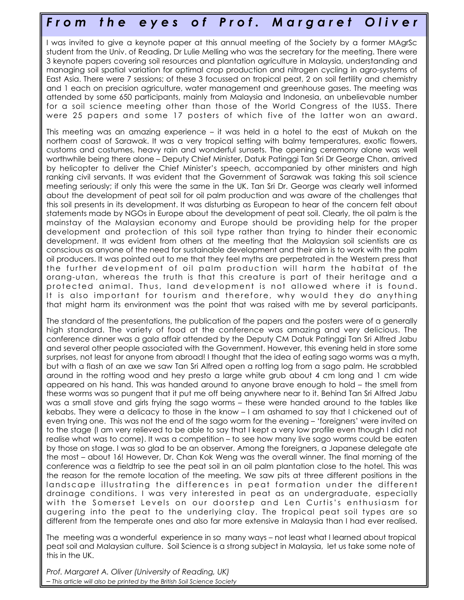## *F r o m t h e eyes of Prof. Margaret Oliver*

I was invited to give a keynote paper at this annual meeting of the Society by a former MAgrSc student from the Univ. of Reading, Dr Lulie Melling who was the secretary for the meeting. There were 3 keynote papers covering soil resources and plantation agriculture in Malaysia, understanding and managing soil spatial variation for optimal crop production and nitrogen cycling in agro-systems of East Asia. There were 7 sessions; of these 3 focussed on tropical peat, 2 on soil fertility and chemistry and 1 each on precision agriculture, water management and greenhouse gases. The meeting was attended by some 650 participants, mainly from Malaysia and Indonesia, an unbelievable number for a soil science meeting other than those of the World Congress of the IUSS. There were 25 papers and some 17 posters of which five of the latter won an award.

This meeting was an amazing experience – it was held in a hotel to the east of Mukah on the northern coast of Sarawak. It was a very tropical setting with balmy temperatures, exotic flowers, customs and costumes, heavy rain and wonderful sunsets. The opening ceremony alone was well worthwhile being there alone – Deputy Chief Minister, Datuk Patinggi Tan Sri Dr George Chan, arrived by helicopter to deliver the Chief Minister's speech, accompanied by other ministers and high ranking civil servants. It was evident that the Government of Sarawak was taking this soil science meeting seriously; if only this were the same in the UK. Tan Sri Dr. George was clearly well informed about the development of peat soil for oil palm production and was aware of the challenges that this soil presents in its development. It was disturbing as European to hear of the concern felt about statements made by NGOs in Europe about the development of peat soil. Clearly, the oil palm is the mainstay of the Malaysian economy and Europe should be providing help for the proper development and protection of this soil type rather than trying to hinder their economic development. It was evident from others at the meeting that the Malaysian soil scientists are as conscious as anyone of the need for sustainable development and their aim is to work with the palm oil producers. It was pointed out to me that they feel myths are perpetrated in the Western press that the further development of oil palm production will harm the habitat of the orang-utan, whereas the truth is that this creature is part of their heritage and a protected animal. Thus, land development is not allowed where it is found. It is also important for tourism and therefore, why would they do anything that might harm its environment was the point that was raised with me by several participants.

The standard of the presentations, the publication of the papers and the posters were of a generally high standard. The variety of food at the conference was amazing and very delicious. The conference dinner was a gala affair attended by the Deputy CM Datuk Patinggi Tan Sri Alfred Jabu and several other people associated with the Government. However, this evening held in store some surprises, not least for anyone from abroad! I thought that the idea of eating sago worms was a myth, but with a flash of an axe we saw Tan Sri Alfred open a rotting log from a sago palm. He scrabbled around in the rotting wood and hey presto a large white grub about 4 cm long and 1 cm wide appeared on his hand. This was handed around to anyone brave enough to hold – the smell from these worms was so pungent that it put me off being anywhere near to it. Behind Tan Sri Alfred Jabu was a small stove and girls frying the sago worms – these were handed around to the tables like kebabs. They were a delicacy to those in the know – I am ashamed to say that I chickened out of even trying one. This was not the end of the sago worm for the evening – 'foreigners' were invited on to the stage (I am very relieved to be able to say that I kept a very low profile even though I did not realise what was to come). It was a competition – to see how many live sago worms could be eaten by those on stage. I was so glad to be an observer. Among the foreigners, a Japanese delegate ate the most – about 16! However, Dr. Chan Kok Weng was the overall winner. The final morning of the conference was a fieldtrip to see the peat soil in an oil palm plantation close to the hotel. This was the reason for the remote location of the meeting. We saw pits at three different positions in the landscape illustrating the differences in peat formation under the different drainage conditions. I was very interested in peat as an undergraduate, especially with the Somerset Levels on our doorstep and Len Curtis's enthusiasm for augering into the peat to the underlying clay. The tropical peat soil types are so different from the temperate ones and also far more extensive in Malaysia than I had ever realised.

The meeting was a wonderful experience in so many ways – not least what I learned about tropical peat soil and Malaysian culture. Soil Science is a strong subject in Malaysia, let us take some note of this in the UK.

*Prof. Margaret A. Oliver (University of Reading, UK) – This article will also be printed by the British Soil Science Society*